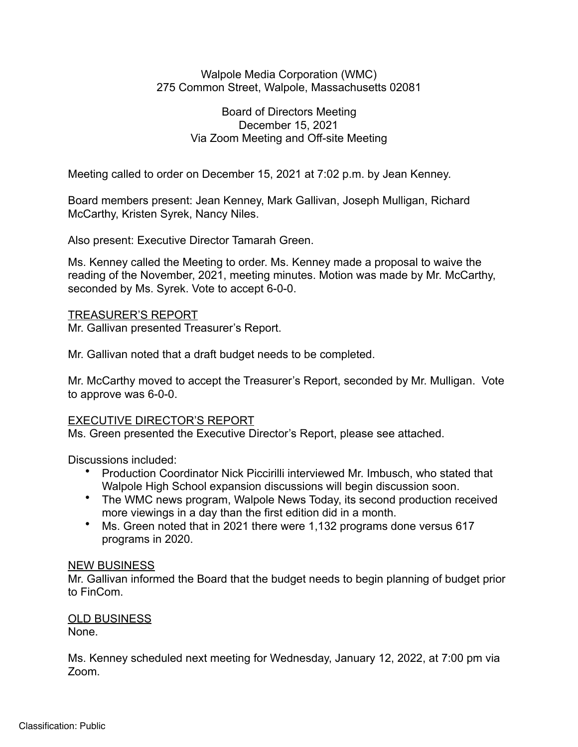#### Walpole Media Corporation (WMC) 275 Common Street, Walpole, Massachusetts 02081

### Board of Directors Meeting December 15, 2021 Via Zoom Meeting and Off-site Meeting

Meeting called to order on December 15, 2021 at 7:02 p.m. by Jean Kenney.

Board members present: Jean Kenney, Mark Gallivan, Joseph Mulligan, Richard McCarthy, Kristen Syrek, Nancy Niles.

Also present: Executive Director Tamarah Green.

Ms. Kenney called the Meeting to order. Ms. Kenney made a proposal to waive the reading of the November, 2021, meeting minutes. Motion was made by Mr. McCarthy, seconded by Ms. Syrek. Vote to accept 6-0-0.

### TREASURER'S REPORT

Mr. Gallivan presented Treasurer's Report.

Mr. Gallivan noted that a draft budget needs to be completed.

Mr. McCarthy moved to accept the Treasurer's Report, seconded by Mr. Mulligan. Vote to approve was 6-0-0.

# EXECUTIVE DIRECTOR'S REPORT

Ms. Green presented the Executive Director's Report, please see attached.

Discussions included:

- Production Coordinator Nick Piccirilli interviewed Mr. Imbusch, who stated that Walpole High School expansion discussions will begin discussion soon.
- The WMC news program, Walpole News Today, its second production received more viewings in a day than the first edition did in a month.
- Ms. Green noted that in 2021 there were 1,132 programs done versus 617 programs in 2020.

### NEW BUSINESS

Mr. Gallivan informed the Board that the budget needs to begin planning of budget prior to FinCom.

# OLD BUSINESS

None.

Ms. Kenney scheduled next meeting for Wednesday, January 12, 2022, at 7:00 pm via Zoom.